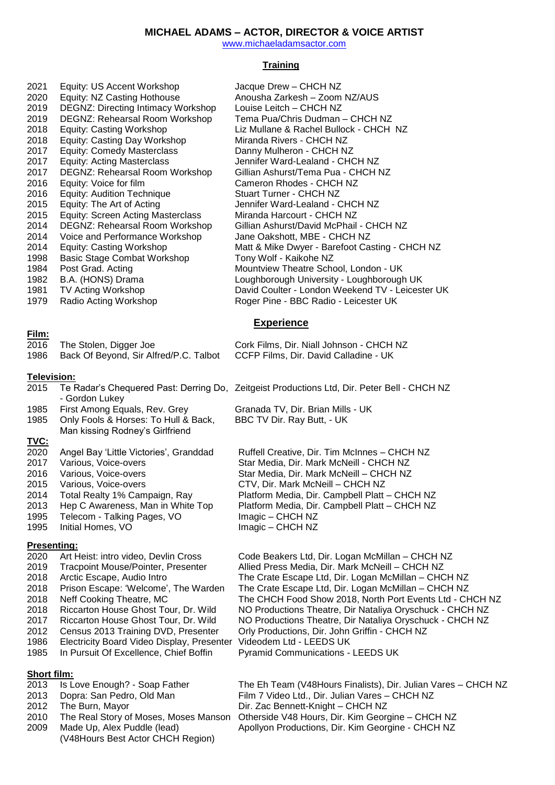# **MICHAEL ADAMS – ACTOR, DIRECTOR & VOICE ARTIST**

[www.michaeladamsactor.com](http://www.michaeladamsactor.com/)

### **Training**

| 2021<br>2020<br>2019<br>2019<br>2018<br>2018<br>2017<br>2017<br>2017<br>2016<br>2016<br>2015<br>2015<br>2014<br>2014<br>2014<br>1998<br>1984<br>1982<br>1981<br>1979 | Equity: US Accent Workshop<br>Equity: NZ Casting Hothouse<br><b>DEGNZ: Directing Intimacy Workshop</b><br>DEGNZ: Rehearsal Room Workshop<br>Equity: Casting Workshop<br><b>Equity: Casting Day Workshop</b><br><b>Equity: Comedy Masterclass</b><br><b>Equity: Acting Masterclass</b><br>DEGNZ: Rehearsal Room Workshop<br>Equity: Voice for film<br><b>Equity: Audition Technique</b><br>Equity: The Art of Acting<br><b>Equity: Screen Acting Masterclass</b><br>DEGNZ: Rehearsal Room Workshop<br>Voice and Performance Workshop<br><b>Equity: Casting Workshop</b><br><b>Basic Stage Combat Workshop</b><br>Post Grad. Acting<br>B.A. (HONS) Drama<br>TV Acting Workshop<br>Radio Acting Workshop | Jacque Drew - CHCH NZ<br>Anousha Zarkesh - Zoom NZ/AUS<br>Louise Leitch - CHCH NZ<br>Tema Pua/Chris Dudman - CHCH NZ<br>Liz Mullane & Rachel Bullock - CHCH NZ<br>Miranda Rivers - CHCH NZ<br>Danny Mulheron - CHCH NZ<br>Jennifer Ward-Lealand - CHCH NZ<br>Gillian Ashurst/Tema Pua - CHCH NZ<br>Cameron Rhodes - CHCH NZ<br>Stuart Turner - CHCH NZ<br>Jennifer Ward-Lealand - CHCH NZ<br>Miranda Harcourt - CHCH NZ<br>Gillian Ashurst/David McPhail - CHCH NZ<br>Jane Oakshott, MBE - CHCH NZ<br>Matt & Mike Dwyer - Barefoot Casting - CHCH NZ<br>Tony Wolf - Kaikohe NZ<br>Mountview Theatre School, London - UK<br>Loughborough University - Loughborough UK<br>David Coulter - London Weekend TV - Leicester UK<br>Roger Pine - BBC Radio - Leicester UK |  |
|----------------------------------------------------------------------------------------------------------------------------------------------------------------------|-------------------------------------------------------------------------------------------------------------------------------------------------------------------------------------------------------------------------------------------------------------------------------------------------------------------------------------------------------------------------------------------------------------------------------------------------------------------------------------------------------------------------------------------------------------------------------------------------------------------------------------------------------------------------------------------------------|-------------------------------------------------------------------------------------------------------------------------------------------------------------------------------------------------------------------------------------------------------------------------------------------------------------------------------------------------------------------------------------------------------------------------------------------------------------------------------------------------------------------------------------------------------------------------------------------------------------------------------------------------------------------------------------------------------------------------------------------------------------------|--|
| <b>Experience</b>                                                                                                                                                    |                                                                                                                                                                                                                                                                                                                                                                                                                                                                                                                                                                                                                                                                                                       |                                                                                                                                                                                                                                                                                                                                                                                                                                                                                                                                                                                                                                                                                                                                                                   |  |
| Film:<br>2016<br>1986                                                                                                                                                | The Stolen, Digger Joe<br>Back Of Beyond, Sir Alfred/P.C. Talbot                                                                                                                                                                                                                                                                                                                                                                                                                                                                                                                                                                                                                                      | Cork Films, Dir. Niall Johnson - CHCH NZ<br>CCFP Films, Dir. David Calladine - UK                                                                                                                                                                                                                                                                                                                                                                                                                                                                                                                                                                                                                                                                                 |  |
| Television:                                                                                                                                                          |                                                                                                                                                                                                                                                                                                                                                                                                                                                                                                                                                                                                                                                                                                       |                                                                                                                                                                                                                                                                                                                                                                                                                                                                                                                                                                                                                                                                                                                                                                   |  |
| 2015                                                                                                                                                                 | - Gordon Lukey                                                                                                                                                                                                                                                                                                                                                                                                                                                                                                                                                                                                                                                                                        | Te Radar's Chequered Past: Derring Do, Zeitgeist Productions Ltd, Dir. Peter Bell - CHCH NZ                                                                                                                                                                                                                                                                                                                                                                                                                                                                                                                                                                                                                                                                       |  |
| 1985<br>1985                                                                                                                                                         | First Among Equals, Rev. Grey<br>Only Fools & Horses: To Hull & Back,<br>Man kissing Rodney's Girlfriend                                                                                                                                                                                                                                                                                                                                                                                                                                                                                                                                                                                              | Granada TV, Dir. Brian Mills - UK<br>BBC TV Dir. Ray Butt, - UK                                                                                                                                                                                                                                                                                                                                                                                                                                                                                                                                                                                                                                                                                                   |  |
| <u>TVC:</u><br>2020<br>2017<br>2016<br>2015<br>2014<br>2013<br>1995<br>1995                                                                                          | Angel Bay 'Little Victories', Granddad<br>Various, Voice-overs<br>Various, Voice-overs<br>Various, Voice-overs<br>Total Realty 1% Campaign, Ray<br>Hep C Awareness, Man in White Top<br>Telecom - Talking Pages, VO<br>Initial Homes, VO                                                                                                                                                                                                                                                                                                                                                                                                                                                              | Ruffell Creative, Dir. Tim McInnes - CHCH NZ<br>Star Media, Dir. Mark McNeill - CHCH NZ<br>Star Media, Dir. Mark McNeill - CHCH NZ<br>CTV, Dir. Mark McNeill - CHCH NZ<br>Platform Media, Dir. Campbell Platt - CHCH NZ<br>Platform Media, Dir. Campbell Platt - CHCH NZ<br>Imagic - CHCH NZ<br>Imagic - CHCH NZ                                                                                                                                                                                                                                                                                                                                                                                                                                                  |  |
| <b>Presenting:</b><br>2020<br>2019<br>2018<br>2018<br>2018<br>2018<br>2017<br>2012<br>1986<br>1985                                                                   | Art Heist: intro video, Devlin Cross<br><b>Tracpoint Mouse/Pointer, Presenter</b><br>Arctic Escape, Audio Intro<br>Prison Escape: 'Welcome', The Warden<br>Neff Cooking Theatre, MC<br>Riccarton House Ghost Tour, Dr. Wild<br>Riccarton House Ghost Tour, Dr. Wild<br>Census 2013 Training DVD, Presenter<br>Electricity Board Video Display, Presenter<br>In Pursuit Of Excellence, Chief Boffin                                                                                                                                                                                                                                                                                                    | Code Beakers Ltd, Dir. Logan McMillan - CHCH NZ<br>Allied Press Media, Dir. Mark McNeill - CHCH NZ<br>The Crate Escape Ltd, Dir. Logan McMillan - CHCH NZ<br>The Crate Escape Ltd, Dir. Logan McMillan - CHCH NZ<br>The CHCH Food Show 2018, North Port Events Ltd - CHCH NZ<br>NO Productions Theatre, Dir Nataliya Oryschuck - CHCH NZ<br>NO Productions Theatre, Dir Nataliya Oryschuck - CHCH NZ<br>Orly Productions, Dir. John Griffin - CHCH NZ<br>Videodem Ltd - LEEDS UK<br>Pyramid Communications - LEEDS UK                                                                                                                                                                                                                                             |  |

# **Short film:**<br>2013 **Is L**

- 
- 
- 
- 
- (V48Hours Best Actor CHCH Region)

1s Love Enough? - Soap Father The Eh Team (V48Hours Finalists), Dir. Julian Vares – CHCH NZ 2013 Dopra: San Pedro, Old Man Film 7 Video Ltd., Dir. Julian Vares – CHCH NZ 2012 The Burn, Mayor Dir. Zac Bennett-Knight – CHCH NZ The Real Story of Moses, Moses Manson Otherside V48 Hours, Dir. Kim Georgine – CHCH NZ 2009 Made Up, Alex Puddle (lead) Apollyon Productions, Dir. Kim Georgine - CHCH NZ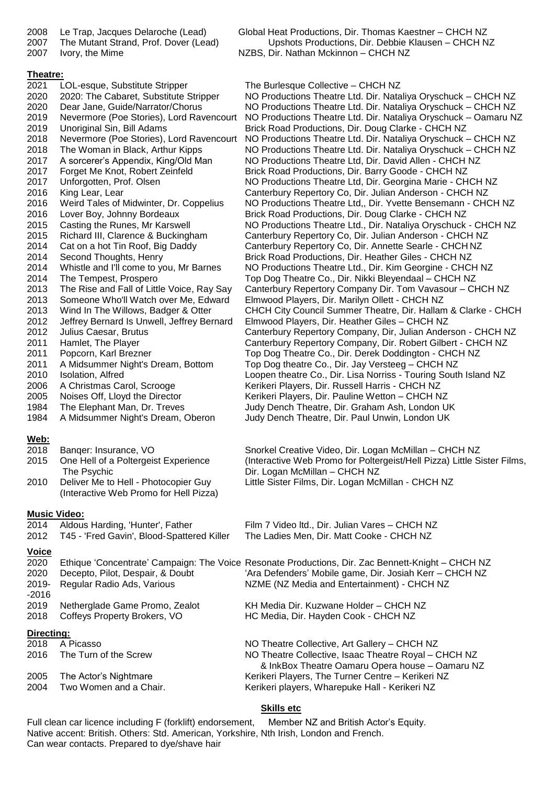# **Theatre:**

- 2021 LOL-esque, Substitute Stripper The Burlesque Collective CHCH NZ 2019 Unoriginal Sin, Bill Adams Brick Road Productions, Dir. Doug Clarke - CHCH NZ 2017 A sorcerer's Appendix, King/Old Man NO Productions Theatre Ltd, Dir. David Allen - CHCH NZ 2017 Forget Me Knot, Robert Zeinfeld Brick Road Productions, Dir. Barry Goode - CHCH NZ 2016 Lover Boy, Johnny Bordeaux Brick Road Productions, Dir. Doug Clarke - CHCH NZ 2014 Cat on a hot Tin Roof, Big Daddy Canterbury Repertory Co, Dir. Annette Searle - CHCH NZ 2014 Second Thoughts, Henry **Brick Road Productions, Dir. Heather Giles - CHCH NZ** 2014 The Tempest, Prospero The Top Dog Theatre Co., Dir. Nikki Bleyendaal – CHCH NZ 2013 Someone Who'll Watch over Me, Edward Elmwood Players, Dir. Marilyn Ollett - CHCH NZ 2012 Jeffrey Bernard Is Unwell, Jeffrey Bernard Elmwood Players, Dir. Heather Giles – CHCH NZ 2011 Popcorn, Karl Brezner The Top Dog Theatre Co., Dir. Derek Doddington - CHCH NZ 2011 A Midsummer Night's Dream, Bottom Top Dog theatre Co., Dir. Jay Versteeg – CHCH NZ<br>2010 Isolation. Alfred Coness Loopen theatre Co., Dir. Lisa Norriss - Touring Soutl 2006 A Christmas Carol, Scrooge Kerikeri Players, Dir. Russell Harris - CHCH NZ 2005 Noises Off, Lloyd the Director Kerikeri Players, Dir. Pauline Wetton - CHCH NZ 1984 The Elephant Man, Dr. Treves Judy Dench Theatre, Dir. Graham Ash, London UK 1984 A Midsummer Night's Dream, Oberon Judy Dench Theatre, Dir. Paul Unwin, London UK **Web:** 2018 Banqer: Insurance, VO Snorkel Creative Video, Dir. Logan McMillan – CHCH NZ The Psychic **Dir.** Logan McMillan – CHCH NZ 2010 Deliver Me to Hell - Photocopier Guy Little Sister Films, Dir. Logan McMillan - CHCH NZ (Interactive Web Promo for Hell Pizza) **Music Video:** 2014 Aldous Harding, 'Hunter', Father Film 7 Video ltd., Dir. Julian Vares – CHCH NZ 2012 T45 - 'Fred Gavin', Blood-Spattered Killer The Ladies Men, Dir. Matt Cooke - CHCH NZ **Voice** 2020 Ethique 'Concentrate' Campaign: The Voice Resonate Productions, Dir. Zac Bennett-Knight – CHCH NZ 2020 Decepto, Pilot, Despair, & Doubt 'Ara Defenders' Mobile game, Dir. Josiah Kerr – CHCH NZ 2019- Regular Radio Ads, Various NZME (NZ Media and Entertainment) - CHCH NZ
- -2016
- 2019 Netherglade Game Promo, Zealot KH Media Dir. Kuzwane Holder CHCH NZ<br>2018 Coffeys Property Brokers, VO HC Media, Dir. Hayden Cook CHCH NZ
- 2018 Coffeys Property Brokers, VO HC Media, Dir. Hayden Cook CHCH NZ

# **Directing:**

| 2018 | A Picasso              | NO Theatre Collective, Art Gallery - CHCH NZ         |
|------|------------------------|------------------------------------------------------|
| 2016 | The Turn of the Screw  | NO Theatre Collective, Isaac Theatre Royal – CHCH NZ |
|      |                        | & InkBox Theatre Oamaru Opera house - Oamaru NZ      |
| 2005 | The Actor's Nightmare  | Kerikeri Players, The Turner Centre - Kerikeri NZ    |
| 2004 | Two Women and a Chair. | Kerikeri players, Wharepuke Hall - Kerikeri NZ       |
|      |                        |                                                      |

# **Skills etc**

Full clean car licence including F (forklift) endorsement, Member NZ and British Actor's Equity. Native accent: British. Others: Std. American, Yorkshire, Nth Irish, London and French. Can wear contacts. Prepared to dye/shave hair

2008 Le Trap, Jacques Delaroche (Lead) Global Heat Productions, Dir. Thomas Kaestner – CHCH NZ 2007 The Mutant Strand, Prof. Dover (Lead) Upshots Productions, Dir. Debbie Klausen – CHCH NZ 2007 Ivory, the Mime NET NEW NEW NOTES, Dir. Nathan Mckinnon – CHCH NZ

2020 2020: The Cabaret, Substitute Stripper NO Productions Theatre Ltd. Dir. Nataliya Oryschuck – CHCH NZ 2020 Dear Jane, Guide/Narrator/Chorus NO Productions Theatre Ltd. Dir. Nataliya Oryschuck – CHCH NZ 2019 Nevermore (Poe Stories), Lord Ravencourt NO Productions Theatre Ltd. Dir. Nataliya Oryschuck – Oamaru NZ 2018 Nevermore (Poe Stories), Lord Ravencourt NO Productions Theatre Ltd. Dir. Nataliya Oryschuck – CHCH NZ 2018 The Woman in Black, Arthur Kipps NO Productions Theatre Ltd. Dir. Nataliya Oryschuck – CHCH NZ 2017 Unforgotten, Prof. Olsen NO Productions Theatre Ltd, Dir. Georgina Marie - CHCH NZ 2016 King Lear, Lear Canterbury Repertory Co, Dir. Julian Anderson - CHCH NZ 2016 Weird Tales of Midwinter, Dr. Coppelius NO Productions Theatre Ltd., Dir. Yvette Bensemann - CHCH NZ 2015 Casting the Runes, Mr Karswell NO Productions Theatre Ltd., Dir. Nataliya Oryschuck - CHCH NZ 2015 Richard III, Clarence & Buckingham Canterbury Repertory Co, Dir. Julian Anderson - CHCH NZ 2014 Whistle and I'll come to you, Mr Barnes NO Productions Theatre Ltd., Dir. Kim Georgine - CHCH NZ 2013 The Rise and Fall of Little Voice, Ray Say Canterbury Repertory Company Dir. Tom Vavasour – CHCH NZ 2013 Wind In The Willows, Badger & Otter CHCH City Council Summer Theatre, Dir. Hallam & Clarke - CHCH 2012 Julius Caesar, Brutus Canterbury Repertory Company, Dir, Julian Anderson - CHCH NZ 2011 Hamlet, The Player Canterbury Repertory Company, Dir. Robert Gilbert - CHCH NZ 2010 Isolation, Alfred **Loopen theatre Co., Dir. Lisa Norriss - Touring South Island NZ** 

2015 One Hell of a Poltergeist Experience (Interactive Web Promo for Poltergeist/Hell Pizza) Little Sister Films,